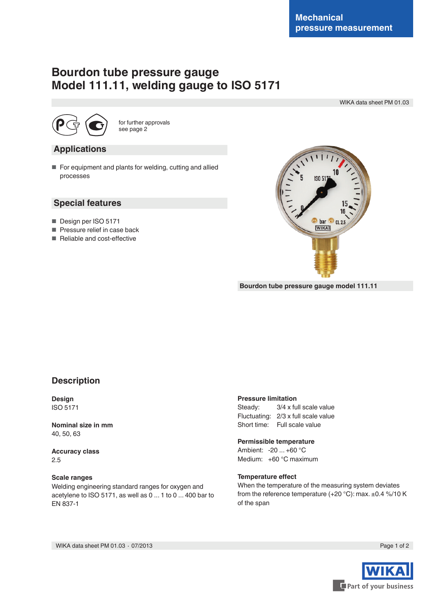# **Bourdon tube pressure gauge Model 111.11, welding gauge to ISO 5171**

WIKA data sheet PM 01.03



for further approvals see page 2

#### **Applications**

■ For equipment and plants for welding, cutting and allied processes

#### **Special features**

- Design per ISO 5171
- Pressure relief in case back
- Reliable and cost-effective



**Bourdon tube pressure gauge model 111.11**

### **Description**

**Design** ISO 5171

**Nominal size in mm** 40, 50, 63

**Accuracy class** 2.5

#### **Scale ranges**

Welding engineering standard ranges for oxygen and acetylene to ISO 5171, as well as 0 ... 1 to 0 ... 400 bar to EN 837-1

#### **Pressure limitation**

Steady: 3/4 x full scale value Fluctuating: 2/3 x full scale value Short time: Full scale value

#### **Permissible temperature**

Ambient: -20 ... +60 °C Medium: +60 °C maximum

#### **Temperature effect**

When the temperature of the measuring system deviates from the reference temperature  $(+20 °C)$ : max.  $\pm 0.4 \% / 10 K$ of the span

WIKA data sheet PM 01.03 ⋅ 07/2013 Page 1 of 2